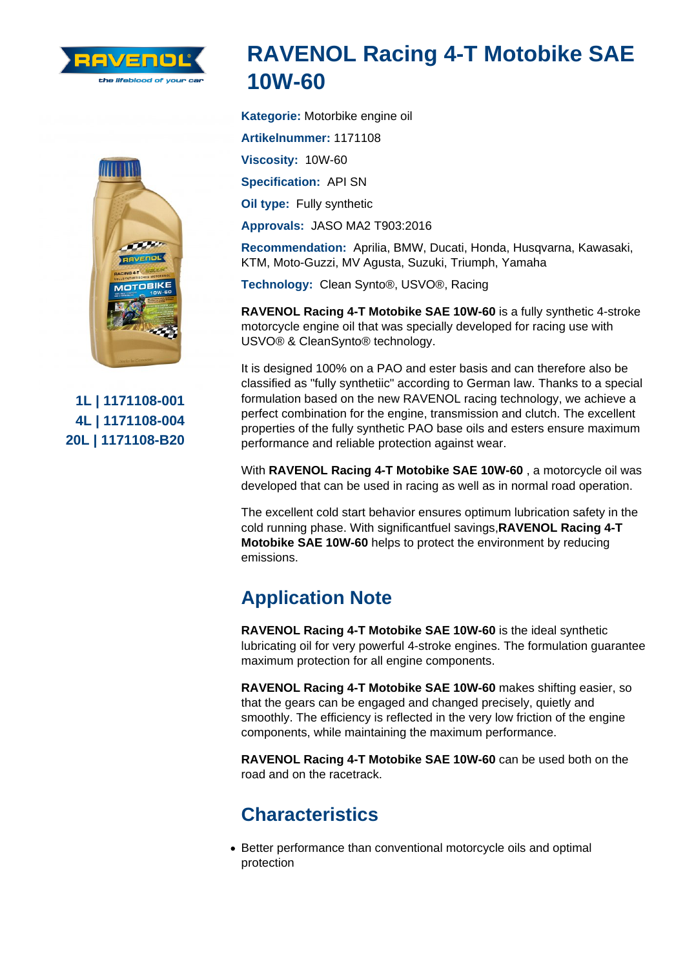## RAVENOL Racing 4-T Motobike SAE 10W-60

Kategorie: Motorbike engine oil

Artikelnummer: 1171108 Viscosity: 10W-60 Specification: API SN Oil type: Fully synthetic Approvals: JASO MA2 T903:2016

Recommendation: Aprilia, BMW, Ducati, Honda, Husqvarna, Kawasaki, KTM, Moto-Guzzi, MV Agusta, Suzuki, Triumph, Yamaha

Technology: Clean Synto®, USVO®, Racing

RAVENOL Racing 4-T Motobike SAE 10W-60 is a fully synthetic 4-stroke motorcycle engine oil that was specially developed for racing use with USVO® & CleanSynto® technology.

It is designed 100% on a PAO and ester basis and can therefore also be classified as "fully synthetiic" according to German law. Thanks to a special formulation based on the new RAVENOL racing technology, we achieve a perfect combination for the engine, transmission and clutch. The excellent properties of the fully synthetic PAO base oils and esters ensure maximum performance and reliable protection against wear.

With RAVENOL Racing 4-T Motobike SAE 10W-60 , a motorcycle oil was developed that can be used in racing as well as in normal road operation.

The excellent cold start behavior ensures optimum lubrication safety in the cold running phase. With significantfuel savings,RAVENOL Racing 4-T Motobike SAE 10W-60 helps to protect the environment by reducing emissions.

## Application Note

RAVENOL Racing 4-T Motobike SAE 10W-60 is the ideal synthetic lubricating oil for very powerful 4-stroke engines. The formulation guarantee maximum protection for all engine components.

RAVENOL Racing 4-T Motobike SAE 10W-60 makes shifting easier, so that the gears can be engaged and changed precisely, quietly and smoothly. The efficiency is reflected in the very low friction of the engine components, while maintaining the maximum performance.

RAVENOL Racing 4-T Motobike SAE 10W-60 can be used both on the road and on the racetrack.

## **Characteristics**

Better performance than conventional motorcycle oils and optimal protection

1L | 1171108-001 4L | 1171108-004 20L | 1171108-B20